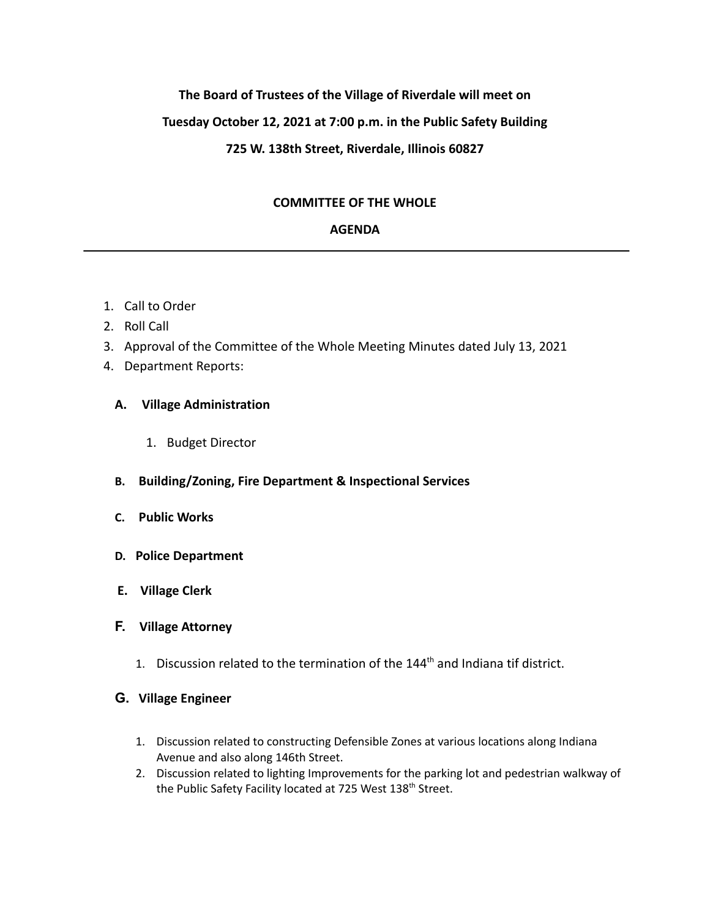### **The Board of Trustees of the Village of Riverdale will meet on**

## **Tuesday October 12, 2021 at 7:00 p.m. in the Public Safety Building**

## **725 W. 138th Street, Riverdale, Illinois 60827**

## **COMMITTEE OF THE WHOLE**

## **AGENDA**

- 1. Call to Order
- 2. Roll Call
- 3. Approval of the Committee of the Whole Meeting Minutes dated July 13, 2021
- 4. Department Reports:

## **A. Village Administration**

- 1. Budget Director
- **B. Building/Zoning, Fire Department & Inspectional Services**
- **C. Public Works**
- **D. Police Department**
- **E. Village Clerk**
- **F. Village Attorney**
	- 1. Discussion related to the termination of the  $144<sup>th</sup>$  and Indiana tif district.

# **G. Village Engineer**

- 1. Discussion related to constructing Defensible Zones at various locations along Indiana Avenue and also along 146th Street.
- 2. Discussion related to lighting Improvements for the parking lot and pedestrian walkway of the Public Safety Facility located at 725 West 138<sup>th</sup> Street.